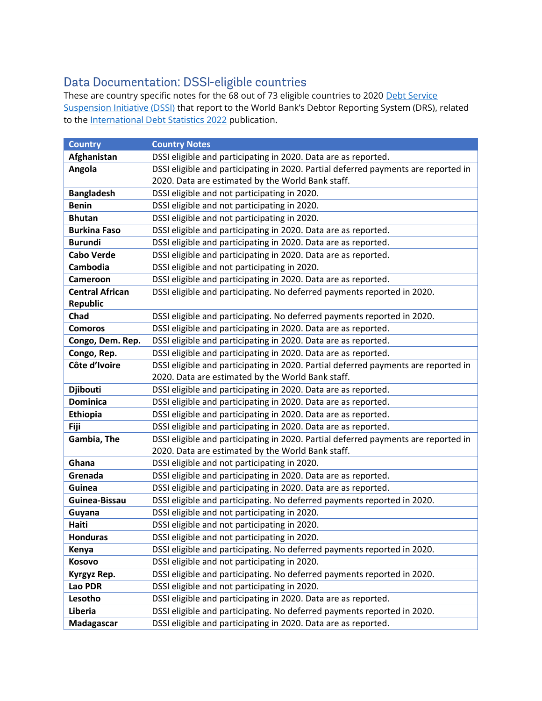## Data Documentation: DSSI-eligible countries

These are country specific notes for the 68 out of 73 eligible countries to 2020 [Debt Service](https://www.worldbank.org/en/topic/debt/brief/covid-19-debt-service-suspension-initiative)  [Suspension Initiative \(DSSI\)](https://www.worldbank.org/en/topic/debt/brief/covid-19-debt-service-suspension-initiative) that report to the World Bank's Debtor Reporting System (DRS), related to the [International Debt Statistics 2022](https://openknowledge.worldbank.org/handle/10986/36289) publication.

| <b>Country</b>         | <b>Country Notes</b>                                                               |
|------------------------|------------------------------------------------------------------------------------|
| Afghanistan            | DSSI eligible and participating in 2020. Data are as reported.                     |
| Angola                 | DSSI eligible and participating in 2020. Partial deferred payments are reported in |
|                        | 2020. Data are estimated by the World Bank staff.                                  |
| <b>Bangladesh</b>      | DSSI eligible and not participating in 2020.                                       |
| <b>Benin</b>           | DSSI eligible and not participating in 2020.                                       |
| <b>Bhutan</b>          | DSSI eligible and not participating in 2020.                                       |
| <b>Burkina Faso</b>    | DSSI eligible and participating in 2020. Data are as reported.                     |
| <b>Burundi</b>         | DSSI eligible and participating in 2020. Data are as reported.                     |
| <b>Cabo Verde</b>      | DSSI eligible and participating in 2020. Data are as reported.                     |
| Cambodia               | DSSI eligible and not participating in 2020.                                       |
| Cameroon               | DSSI eligible and participating in 2020. Data are as reported.                     |
| <b>Central African</b> | DSSI eligible and participating. No deferred payments reported in 2020.            |
| <b>Republic</b>        |                                                                                    |
| Chad                   | DSSI eligible and participating. No deferred payments reported in 2020.            |
| <b>Comoros</b>         | DSSI eligible and participating in 2020. Data are as reported.                     |
| Congo, Dem. Rep.       | DSSI eligible and participating in 2020. Data are as reported.                     |
| Congo, Rep.            | DSSI eligible and participating in 2020. Data are as reported.                     |
| Côte d'Ivoire          | DSSI eligible and participating in 2020. Partial deferred payments are reported in |
|                        | 2020. Data are estimated by the World Bank staff.                                  |
| <b>Djibouti</b>        | DSSI eligible and participating in 2020. Data are as reported.                     |
| <b>Dominica</b>        | DSSI eligible and participating in 2020. Data are as reported.                     |
| <b>Ethiopia</b>        | DSSI eligible and participating in 2020. Data are as reported.                     |
| Fiji                   | DSSI eligible and participating in 2020. Data are as reported.                     |
| Gambia, The            | DSSI eligible and participating in 2020. Partial deferred payments are reported in |
|                        | 2020. Data are estimated by the World Bank staff.                                  |
| Ghana                  | DSSI eligible and not participating in 2020.                                       |
| Grenada                | DSSI eligible and participating in 2020. Data are as reported.                     |
| Guinea                 | DSSI eligible and participating in 2020. Data are as reported.                     |
| Guinea-Bissau          | DSSI eligible and participating. No deferred payments reported in 2020.            |
| Guyana                 | DSSI eligible and not participating in 2020.                                       |
| Haiti                  | DSSI eligible and not participating in 2020.                                       |
| <b>Honduras</b>        | DSSI eligible and not participating in 2020.                                       |
| Kenya                  | DSSI eligible and participating. No deferred payments reported in 2020.            |
| Kosovo                 | DSSI eligible and not participating in 2020.                                       |
| Kyrgyz Rep.            | DSSI eligible and participating. No deferred payments reported in 2020.            |
| Lao PDR                | DSSI eligible and not participating in 2020.                                       |
| Lesotho                | DSSI eligible and participating in 2020. Data are as reported.                     |
| Liberia                | DSSI eligible and participating. No deferred payments reported in 2020.            |
| Madagascar             | DSSI eligible and participating in 2020. Data are as reported.                     |